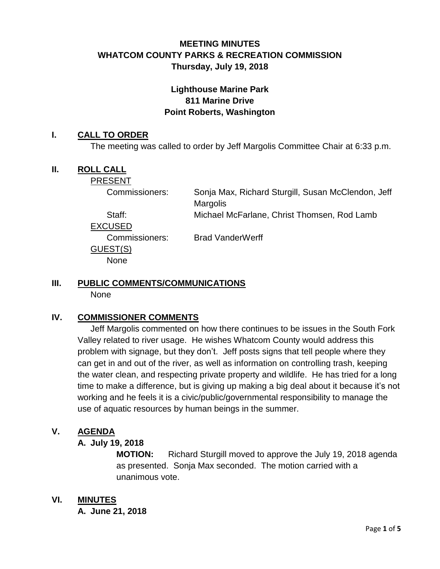# **MEETING MINUTES WHATCOM COUNTY PARKS & RECREATION COMMISSION Thursday, July 19, 2018**

## **Lighthouse Marine Park 811 Marine Drive Point Roberts, Washington**

#### **I. CALL TO ORDER**

The meeting was called to order by Jeff Margolis Committee Chair at 6:33 p.m.

### **II. ROLL CALL**

PRESENT

Commissioners: Sonja Max, Richard Sturgill, Susan McClendon, Jeff **Margolis** 

Staff: Michael McFarlane, Christ Thomsen, Rod Lamb

EXCUSED

GUEST(S) None

Commissioners: Brad VanderWerff

# **III. PUBLIC COMMENTS/COMMUNICATIONS**

None

## **IV. COMMISSIONER COMMENTS**

Jeff Margolis commented on how there continues to be issues in the South Fork Valley related to river usage. He wishes Whatcom County would address this problem with signage, but they don't. Jeff posts signs that tell people where they can get in and out of the river, as well as information on controlling trash, keeping the water clean, and respecting private property and wildlife. He has tried for a long time to make a difference, but is giving up making a big deal about it because it's not working and he feels it is a civic/public/governmental responsibility to manage the use of aquatic resources by human beings in the summer.

## **V. AGENDA**

#### **A. July 19, 2018**

**MOTION:** Richard Sturgill moved to approve the July 19, 2018 agenda as presented. Sonja Max seconded. The motion carried with a unanimous vote.

## **VI. MINUTES**

**A. June 21, 2018**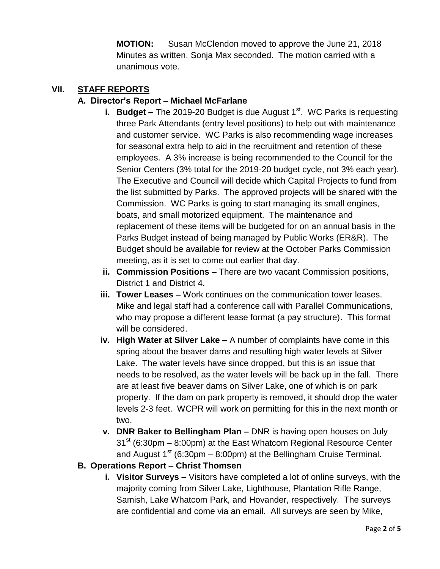**MOTION:** Susan McClendon moved to approve the June 21, 2018 Minutes as written. Sonja Max seconded. The motion carried with a unanimous vote.

## **VII. STAFF REPORTS**

### **A. Director's Report – Michael McFarlane**

- **i. Budget –** The 2019-20 Budget is due August 1<sup>st</sup>. WC Parks is requesting three Park Attendants (entry level positions) to help out with maintenance and customer service. WC Parks is also recommending wage increases for seasonal extra help to aid in the recruitment and retention of these employees. A 3% increase is being recommended to the Council for the Senior Centers (3% total for the 2019-20 budget cycle, not 3% each year). The Executive and Council will decide which Capital Projects to fund from the list submitted by Parks. The approved projects will be shared with the Commission. WC Parks is going to start managing its small engines, boats, and small motorized equipment. The maintenance and replacement of these items will be budgeted for on an annual basis in the Parks Budget instead of being managed by Public Works (ER&R). The Budget should be available for review at the October Parks Commission meeting, as it is set to come out earlier that day.
- **ii. Commission Positions –** There are two vacant Commission positions, District 1 and District 4.
- **iii. Tower Leases –** Work continues on the communication tower leases. Mike and legal staff had a conference call with Parallel Communications, who may propose a different lease format (a pay structure). This format will be considered.
- **iv. High Water at Silver Lake –** A number of complaints have come in this spring about the beaver dams and resulting high water levels at Silver Lake. The water levels have since dropped, but this is an issue that needs to be resolved, as the water levels will be back up in the fall. There are at least five beaver dams on Silver Lake, one of which is on park property. If the dam on park property is removed, it should drop the water levels 2-3 feet. WCPR will work on permitting for this in the next month or two.
- **v. DNR Baker to Bellingham Plan –** DNR is having open houses on July  $31<sup>st</sup>$  (6:30pm – 8:00pm) at the East Whatcom Regional Resource Center and August  $1<sup>st</sup>$  (6:30pm – 8:00pm) at the Bellingham Cruise Terminal.
- **B. Operations Report – Christ Thomsen**
	- **i. Visitor Surveys –** Visitors have completed a lot of online surveys, with the majority coming from Silver Lake, Lighthouse, Plantation Rifle Range, Samish, Lake Whatcom Park, and Hovander, respectively. The surveys are confidential and come via an email. All surveys are seen by Mike,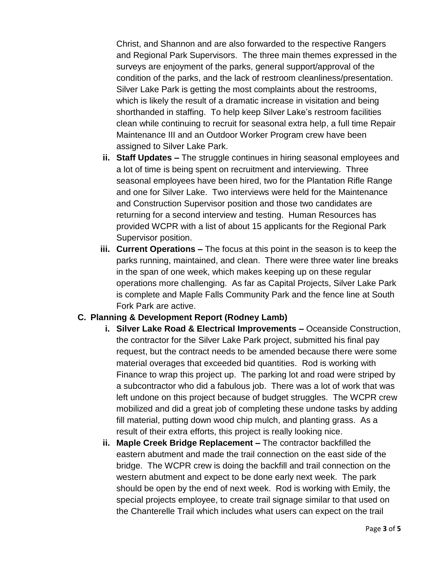Christ, and Shannon and are also forwarded to the respective Rangers and Regional Park Supervisors. The three main themes expressed in the surveys are enjoyment of the parks, general support/approval of the condition of the parks, and the lack of restroom cleanliness/presentation. Silver Lake Park is getting the most complaints about the restrooms, which is likely the result of a dramatic increase in visitation and being shorthanded in staffing. To help keep Silver Lake's restroom facilities clean while continuing to recruit for seasonal extra help, a full time Repair Maintenance III and an Outdoor Worker Program crew have been assigned to Silver Lake Park.

- **ii. Staff Updates –** The struggle continues in hiring seasonal employees and a lot of time is being spent on recruitment and interviewing. Three seasonal employees have been hired, two for the Plantation Rifle Range and one for Silver Lake. Two interviews were held for the Maintenance and Construction Supervisor position and those two candidates are returning for a second interview and testing. Human Resources has provided WCPR with a list of about 15 applicants for the Regional Park Supervisor position.
- **iii. Current Operations –** The focus at this point in the season is to keep the parks running, maintained, and clean. There were three water line breaks in the span of one week, which makes keeping up on these regular operations more challenging. As far as Capital Projects, Silver Lake Park is complete and Maple Falls Community Park and the fence line at South Fork Park are active.

#### **C. Planning & Development Report (Rodney Lamb)**

- **i. Silver Lake Road & Electrical Improvements –** Oceanside Construction, the contractor for the Silver Lake Park project, submitted his final pay request, but the contract needs to be amended because there were some material overages that exceeded bid quantities. Rod is working with Finance to wrap this project up. The parking lot and road were striped by a subcontractor who did a fabulous job. There was a lot of work that was left undone on this project because of budget struggles. The WCPR crew mobilized and did a great job of completing these undone tasks by adding fill material, putting down wood chip mulch, and planting grass. As a result of their extra efforts, this project is really looking nice.
- **ii. Maple Creek Bridge Replacement –** The contractor backfilled the eastern abutment and made the trail connection on the east side of the bridge. The WCPR crew is doing the backfill and trail connection on the western abutment and expect to be done early next week. The park should be open by the end of next week. Rod is working with Emily, the special projects employee, to create trail signage similar to that used on the Chanterelle Trail which includes what users can expect on the trail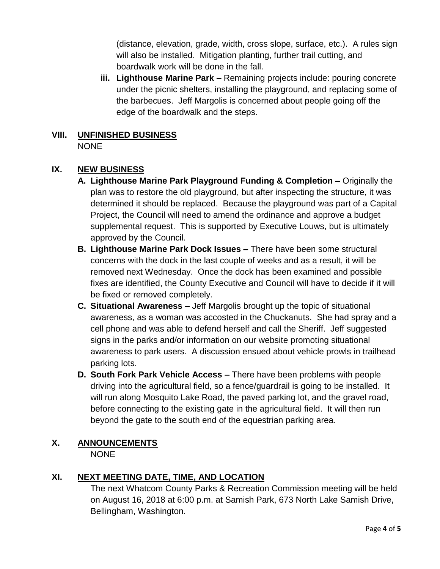(distance, elevation, grade, width, cross slope, surface, etc.). A rules sign will also be installed. Mitigation planting, further trail cutting, and boardwalk work will be done in the fall.

**iii. Lighthouse Marine Park –** Remaining projects include: pouring concrete under the picnic shelters, installing the playground, and replacing some of the barbecues. Jeff Margolis is concerned about people going off the edge of the boardwalk and the steps.

#### **VIII. UNFINISHED BUSINESS** NONE

## **IX. NEW BUSINESS**

- **A. Lighthouse Marine Park Playground Funding & Completion –** Originally the plan was to restore the old playground, but after inspecting the structure, it was determined it should be replaced. Because the playground was part of a Capital Project, the Council will need to amend the ordinance and approve a budget supplemental request. This is supported by Executive Louws, but is ultimately approved by the Council.
- **B. Lighthouse Marine Park Dock Issues –** There have been some structural concerns with the dock in the last couple of weeks and as a result, it will be removed next Wednesday. Once the dock has been examined and possible fixes are identified, the County Executive and Council will have to decide if it will be fixed or removed completely.
- **C. Situational Awareness –** Jeff Margolis brought up the topic of situational awareness, as a woman was accosted in the Chuckanuts. She had spray and a cell phone and was able to defend herself and call the Sheriff. Jeff suggested signs in the parks and/or information on our website promoting situational awareness to park users. A discussion ensued about vehicle prowls in trailhead parking lots.
- **D. South Fork Park Vehicle Access –** There have been problems with people driving into the agricultural field, so a fence/guardrail is going to be installed. It will run along Mosquito Lake Road, the paved parking lot, and the gravel road, before connecting to the existing gate in the agricultural field. It will then run beyond the gate to the south end of the equestrian parking area.

#### **X. ANNOUNCEMENTS**

NONE

# **XI. NEXT MEETING DATE, TIME, AND LOCATION**

The next Whatcom County Parks & Recreation Commission meeting will be held on August 16, 2018 at 6:00 p.m. at Samish Park, 673 North Lake Samish Drive, Bellingham, Washington.